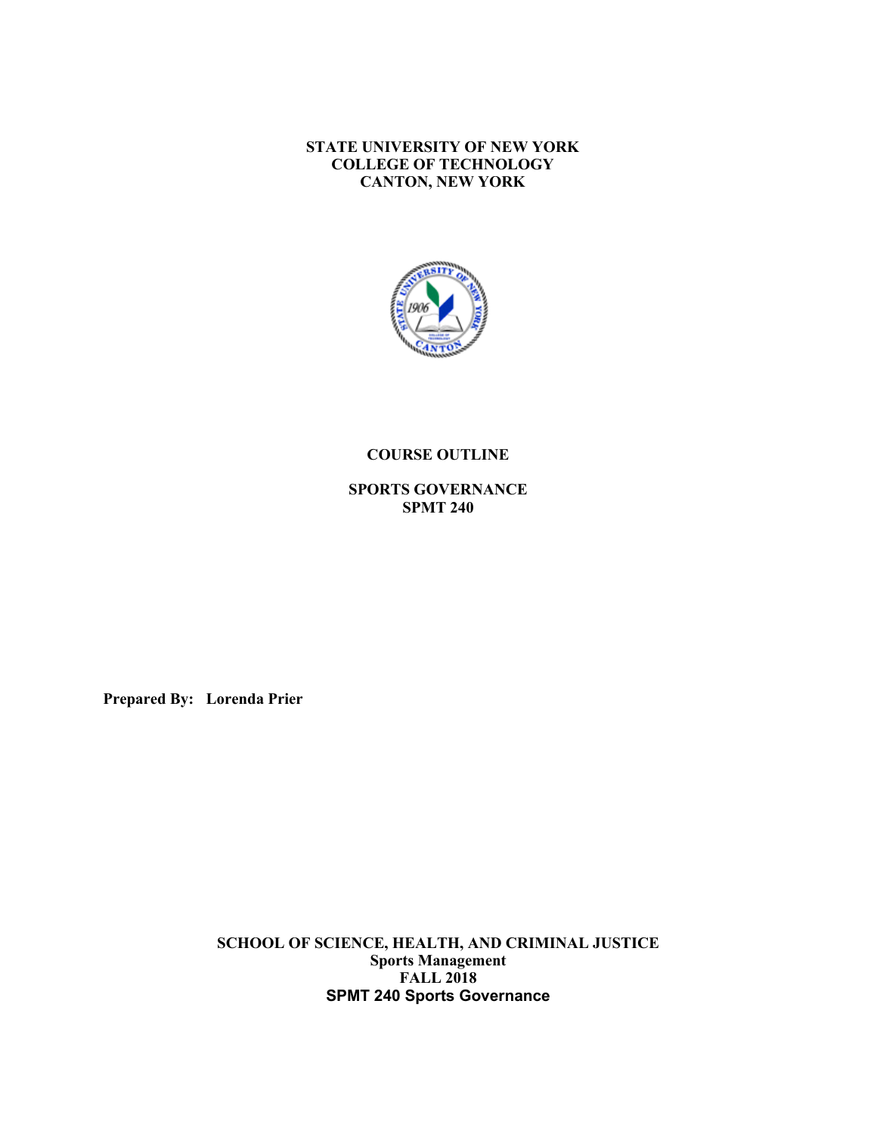**STATE UNIVERSITY OF NEW YORK CANTON, NEW YORK COLLEGE OF TECHNOLOGY**



#### **COURSE OUTLINE**

**SPORTS GOVERNANCE SPMT 240** 

**Prepared By: Lorenda Prier** 

 **SCHOOL OF SCIENCE, HEALTH, AND CRIMINAL JUSTICE SPMT 240 Sports Governance Sports Management FALL 2018**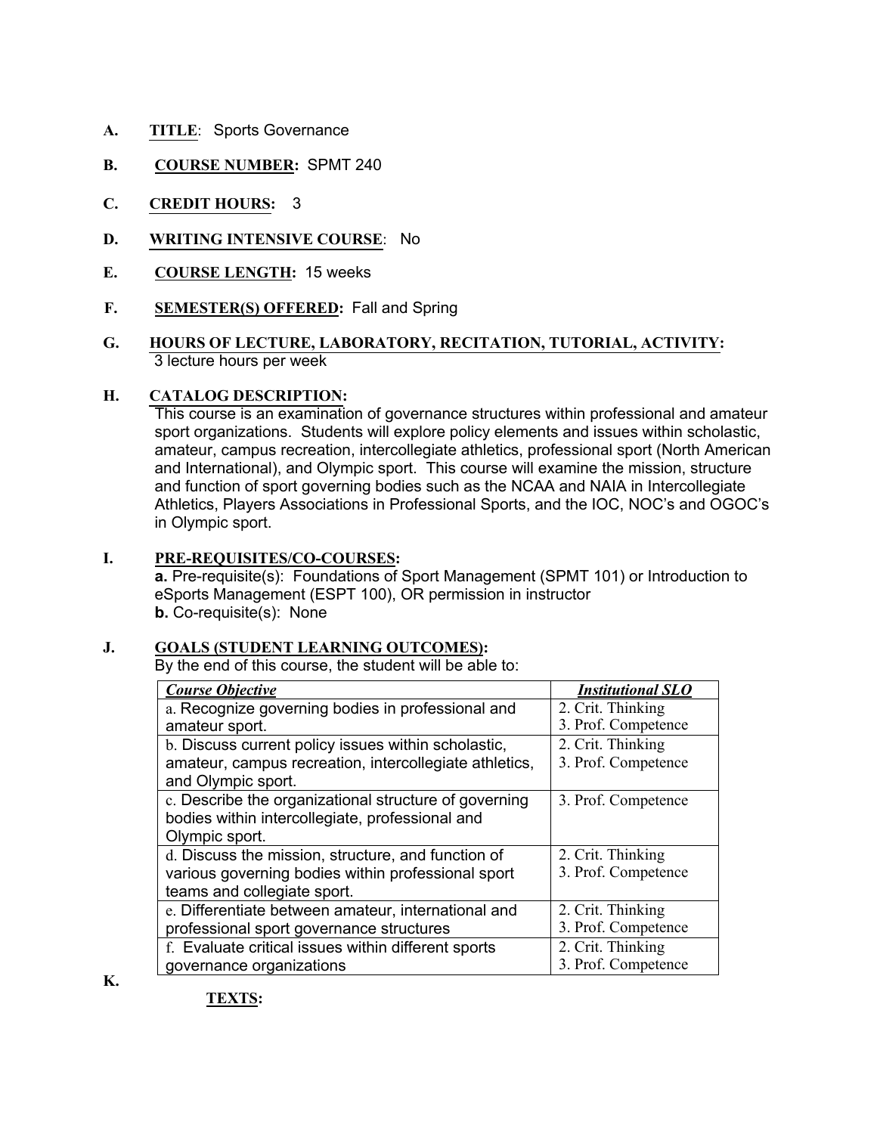- **A. TITLE**: Sports Governance
- **B. COURSE NUMBER:** SPMT 240
- **C. CREDIT HOURS:** 3
- **D. WRITING INTENSIVE COURSE**: No
- **E. COURSE LENGTH:** 15 weeks
- **F. SEMESTER(S) OFFERED:** Fall and Spring
- **G. HOURS OF LECTURE, LABORATORY, RECITATION, TUTORIAL, ACTIVITY:** 3 lecture hours per week

#### **H. H. CATALOG DESCRIPTION:**

 This course is an examination of governance structures within professional and amateur sport organizations. Students will explore policy elements and issues within scholastic, amateur, campus recreation, intercollegiate athletics, professional sport (North American and International), and Olympic sport. This course will examine the mission, structure and function of sport governing bodies such as the NCAA and NAIA in Intercollegiate Athletics, Players Associations in Professional Sports, and the IOC, NOC's and OGOC's in Olympic sport.

# **I. PRE-REQUISITES/CO-COURSES:**

 **a.** Pre-requisite(s): Foundations of Sport Management (SPMT 101) or Introduction to eSports Management (ESPT 100), OR permission in instructor **b.** Co-requisite(s): None

### **J. GOALS (STUDENT LEARNING OUTCOMES):**

By the end of this course, the student will be able to:

| <b>Course Objective</b>                                | <b>Institutional SLO</b> |
|--------------------------------------------------------|--------------------------|
| a. Recognize governing bodies in professional and      | 2. Crit. Thinking        |
| amateur sport.                                         | 3. Prof. Competence      |
| b. Discuss current policy issues within scholastic,    | 2. Crit. Thinking        |
| amateur, campus recreation, intercollegiate athletics, | 3. Prof. Competence      |
| and Olympic sport.                                     |                          |
| c. Describe the organizational structure of governing  | 3. Prof. Competence      |
| bodies within intercollegiate, professional and        |                          |
| Olympic sport.                                         |                          |
| d. Discuss the mission, structure, and function of     | 2. Crit. Thinking        |
| various governing bodies within professional sport     | 3. Prof. Competence      |
| teams and collegiate sport.                            |                          |
| e. Differentiate between amateur, international and    | 2. Crit. Thinking        |
| professional sport governance structures               | 3. Prof. Competence      |
| f. Evaluate critical issues within different sports    | 2. Crit. Thinking        |
| governance organizations                               | 3. Prof. Competence      |

**K.** 

**TEXTS:**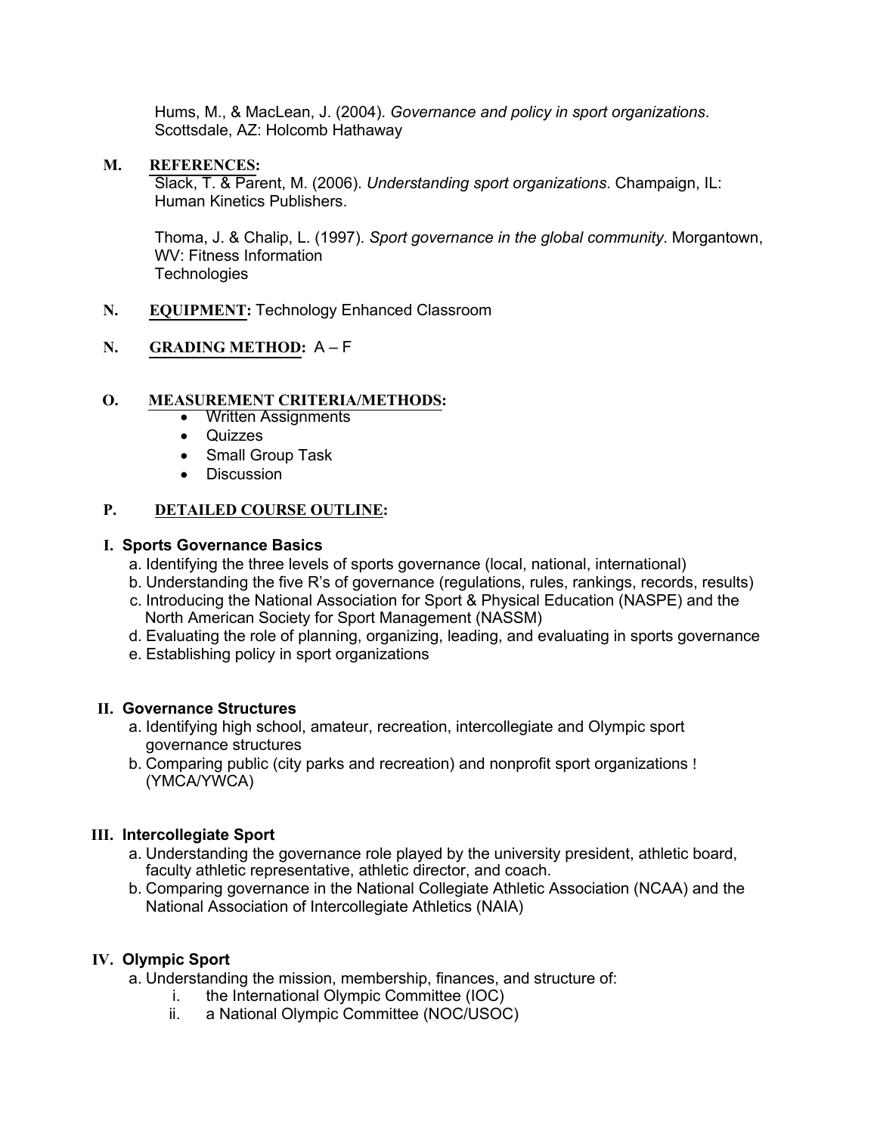Hums, M., & MacLean, J. (2004). *Governance and policy in sport organizations*. Scottsdale, AZ: Holcomb Hathaway

## **M. REFERENCES:**

 Slack, T. & Parent, M. (2006). *Understanding sport organizations*. Champaign, IL: Human Kinetics Publishers.

 Thoma, J. & Chalip, L. (1997). *Sport governance in the global community*. Morgantown, WV: Fitness Information **Technologies** 

**N. EQUIPMENT:** Technology Enhanced Classroom

# **N. GRADING METHOD:** A – F

## **O. MEASUREMENT CRITERIA/METHODS:**

- Written Assignments
- Quizzes
- Small Group Task
- Discussion

#### **P. P. DETAILED COURSE OUTLINE:**

### **I. Sports Governance Basics**

- a. Identifying the three levels of sports governance (local, national, international)
- b. Understanding the five R's of governance (regulations, rules, rankings, records, results)
- c. Introducing the National Association for Sport & Physical Education (NASPE) and the North American Society for Sport Management (NASSM)
- d. Evaluating the role of planning, organizing, leading, and evaluating in sports governance
- e. Establishing policy in sport organizations

### **II. Governance Structures**

- a. Identifying high school, amateur, recreation, intercollegiate and Olympic sport governance structures
- b. Comparing public (city parks and recreation) and nonprofit sport organizations ! (YMCA/YWCA)

### **III. Intercollegiate Sport**

- a. Understanding the governance role played by the university president, athletic board, faculty athletic representative, athletic director, and coach.
- b. Comparing governance in the National Collegiate Athletic Association (NCAA) and the National Association of Intercollegiate Athletics (NAIA)

## **IV. Olympic Sport**

a. Understanding the mission, membership, finances, and structure of:

- i. the International Olympic Committee (IOC)
- ii. a National Olympic Committee (NOC/USOC)